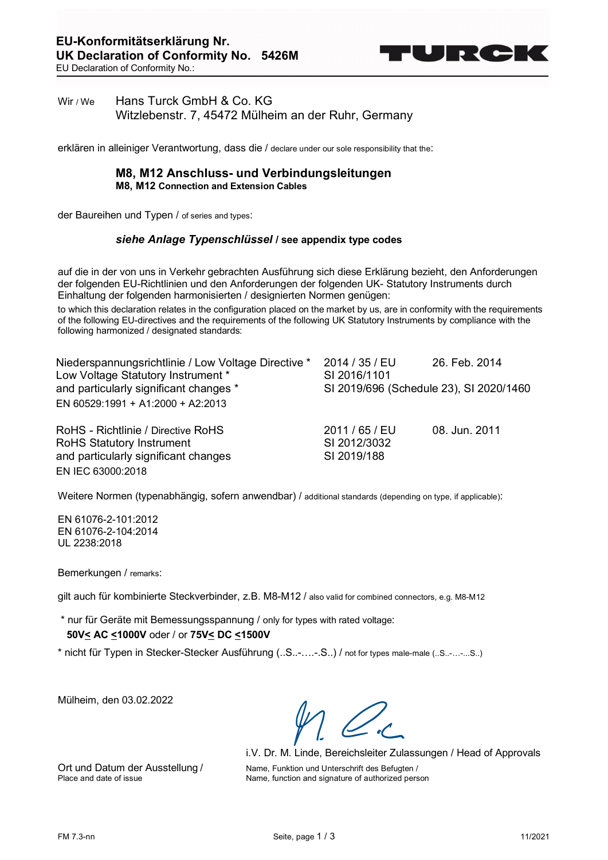

# Wir / We Hans Turck GmbH & Co. KG Witzlebenstr. 7, 45472 Mülheim an der Ruhr, Germany

erklären in alleiniger Verantwortung, dass die / declare under our sole responsibility that the:

### **M8, M12 Anschluss- und Verbindungsleitungen M8, M12 Connection and Extension Cables**

der Baureihen und Typen / of series and types:

#### *siehe Anlage Typenschlüssel* **/ see appendix type codes**

auf die in der von uns in Verkehr gebrachten Ausführung sich diese Erklärung bezieht, den Anforderungen der folgenden EU-Richtlinien und den Anforderungen der folgenden UK- Statutory Instruments durch Einhaltung der folgenden harmonisierten / designierten Normen genügen:

to which this declaration relates in the configuration placed on the market by us, are in conformity with the requirements of the following EU-directives and the requirements of the following UK Statutory Instruments by compliance with the following harmonized / designated standards:

| Niederspannungsrichtlinie / Low Voltage Directive *<br>Low Voltage Statutory Instrument * | 2014 / 35 / EU<br>SI 2016/1101 | 26. Feb. 2014                           |
|-------------------------------------------------------------------------------------------|--------------------------------|-----------------------------------------|
| and particularly significant changes *                                                    |                                | SI 2019/696 (Schedule 23), SI 2020/1460 |
| EN 60529:1991 + A1:2000 + A2:2013                                                         |                                |                                         |
| RoHS - Richtlinie / Directive RoHS                                                        | 2011 / 65 / EU                 | 08. Jun. 2011                           |
| <b>RoHS Statutory Instrument</b>                                                          | SI 2012/3032                   |                                         |
| and particularly significant changes                                                      | SI 2019/188                    |                                         |
| EN IEC 63000:2018                                                                         |                                |                                         |

Weitere Normen (typenabhängig, sofern anwendbar) / additional standards (depending on type, if applicable):

EN 61076-2-101:2012 EN 61076-2-104:2014 UL 2238:2018

Bemerkungen / remarks:

gilt auch für kombinierte Steckverbinder, z.B. M8-M12 / also valid for combined connectors, e.g. M8-M12

\* nur für Geräte mit Bemessungsspannung / only for types with rated voltage:  **50V< AC <1000V** oder / or **75V< DC <1500V**

\* nicht für Typen in Stecker-Stecker Ausführung (..S..-….-.S..) / not for types male-male (..S..-…-...S..)

Mülheim, den 03.02.2022

i.V. Dr. M. Linde, Bereichsleiter Zulassungen / Head of Approvals Ort und Datum der Ausstellung / Name, Funktion und Unterschrift des Befugten /<br>Place and date of issue Name, function and signature of authorized pers Name, function and signature of authorized person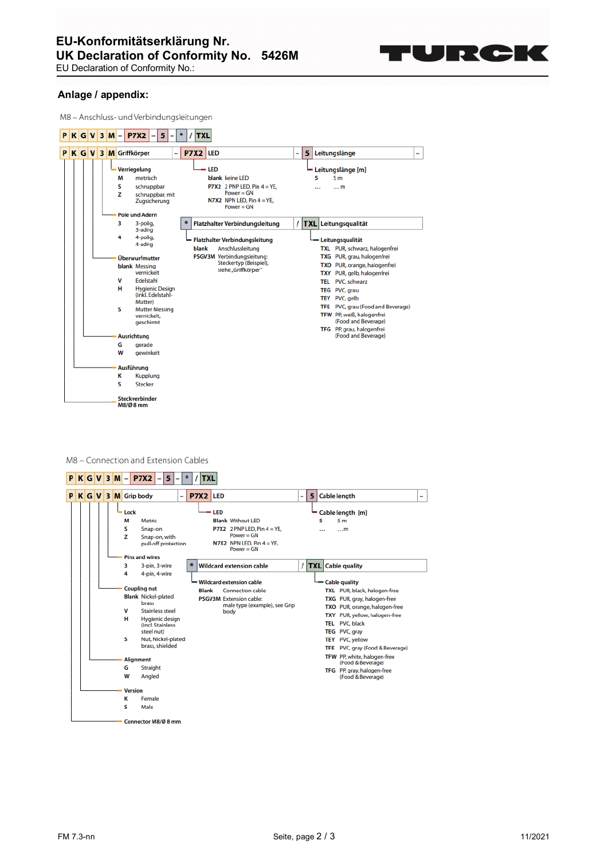

EU Declaration of Conformity No.:

### **Anlage / appendix:**

M8 - Anschluss- und Verbindungsleitungen

| P |  | $K$ G V 3 M |  | -                                              | <b>P7X2</b>                                                                                                                                                                                                                                                                                                                                                                                     | 5 |   | ₩ |          | <b>TXL</b> |                                                                                                                                                                                                                                                                                                  |  |   |   |                                                                                                 |                                                                                                                                                                        |                                                                                      |                                                                                                    |   |
|---|--|-------------|--|------------------------------------------------|-------------------------------------------------------------------------------------------------------------------------------------------------------------------------------------------------------------------------------------------------------------------------------------------------------------------------------------------------------------------------------------------------|---|---|---|----------|------------|--------------------------------------------------------------------------------------------------------------------------------------------------------------------------------------------------------------------------------------------------------------------------------------------------|--|---|---|-------------------------------------------------------------------------------------------------|------------------------------------------------------------------------------------------------------------------------------------------------------------------------|--------------------------------------------------------------------------------------|----------------------------------------------------------------------------------------------------|---|
|   |  |             |  |                                                | PKGV3MGriffkörper                                                                                                                                                                                                                                                                                                                                                                               |   | - |   | P7X2 LED |            |                                                                                                                                                                                                                                                                                                  |  | - | 5 | Leitungslänge                                                                                   |                                                                                                                                                                        |                                                                                      |                                                                                                    | - |
|   |  |             |  | м<br>s<br>z<br>3<br>4<br>v<br>н<br>s<br>G<br>W | Verriegelung<br>metrisch<br>schnappbar<br>schnappbar, mit<br>Zugsicherung<br><b>Pole und Adern</b><br>3-polig,<br>3-adrig<br>4-polig,<br>4-adrig<br>Überwurfmutter<br>blank Messing<br>vernickelt<br>Edelstahl<br><b>Hygienic Design</b><br>(inkl. Edelstahl-<br>Mutter)<br><b>Mutter Messing</b><br>vernickelt.<br>geschirmt<br><b>Ausrichtung</b><br>qerade<br><b>gewinkelt</b><br>Ausführung |   |   | ₩ | blank    | - LED      | blank keine I FD<br>P7X2 2 PNP LED, Pin $4 = YE$ ,<br>Power = $GN$<br>N7X2 NPN LED, $Pin 4 = YE$ ,<br>Power = $GN$<br><b>Platzhalter Verbindungsleitung</b><br>Platzhalter Verbindungsleitung<br>Anschlussleitung<br>PSGV3M Verbindungsleitung:<br>Steckertyp (Beispiel),<br>siehe "Griffkörper" |  |   |   | Leitungslänge [m]<br>5<br>$\cdots$<br>/ TXL Leitungsqualität<br><b>TXY</b><br>TEL<br><b>TEY</b> | 5 <sub>m</sub><br>$\ldots$ m<br>Leitungsqualität<br>TXG PUR, grau, halogenfrei<br>TEG PVC, grau<br>PVC, gelb<br>TFW PP, weiß, halogenfrei<br>TFG PP, grau, halogenfrei | PUR, gelb, halogenfrei<br>PVC, schwarz<br>(Food and Beverage)<br>(Food and Beverage) | TXL PUR, schwarz, halogenfrei<br>TXO PUR, orange, halogenfrei<br>TFE PVC, grau (Food and Beverage) |   |
|   |  |             |  | κ<br>s                                         | <b>Kupplung</b><br><b>Stecker</b>                                                                                                                                                                                                                                                                                                                                                               |   |   |   |          |            |                                                                                                                                                                                                                                                                                                  |  |   |   |                                                                                                 |                                                                                                                                                                        |                                                                                      |                                                                                                    |   |
|   |  |             |  |                                                | <b>Steckverbinder</b><br>M8/Ø8 mm                                                                                                                                                                                                                                                                                                                                                               |   |   |   |          |            |                                                                                                                                                                                                                                                                                                  |  |   |   |                                                                                                 |                                                                                                                                                                        |                                                                                      |                                                                                                    |   |

#### M8 - Connection and Extension Cables